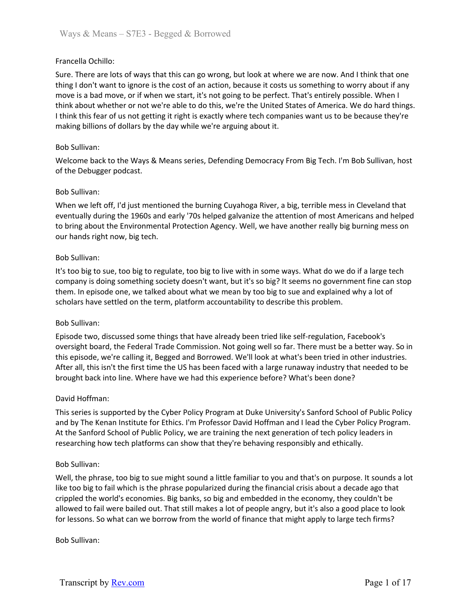## Francella Ochillo:

Sure. There are lots of ways that this can go wrong, but look at where we are now. And I think that one thing I don't want to ignore is the cost of an action, because it costs us something to worry about if any move is a bad move, or if when we start, it's not going to be perfect. That's entirely possible. When I think about whether or not we're able to do this, we're the United States of America. We do hard things. I think this fear of us not getting it right is exactly where tech companies want us to be because they're making billions of dollars by the day while we're arguing about it.

## Bob Sullivan:

Welcome back to the Ways & Means series, Defending Democracy From Big Tech. I'm Bob Sullivan, host of the Debugger podcast.

## Bob Sullivan:

When we left off, I'd just mentioned the burning Cuyahoga River, a big, terrible mess in Cleveland that eventually during the 1960s and early '70s helped galvanize the attention of most Americans and helped to bring about the Environmental Protection Agency. Well, we have another really big burning mess on our hands right now, big tech.

## Bob Sullivan:

It's too big to sue, too big to regulate, too big to live with in some ways. What do we do if a large tech company is doing something society doesn't want, but it's so big? It seems no government fine can stop them. In episode one, we talked about what we mean by too big to sue and explained why a lot of scholars have settled on the term, platform accountability to describe this problem.

## Bob Sullivan:

Episode two, discussed some things that have already been tried like self-regulation, Facebook's oversight board, the Federal Trade Commission. Not going well so far. There must be a better way. So in this episode, we're calling it, Begged and Borrowed. We'll look at what's been tried in other industries. After all, this isn't the first time the US has been faced with a large runaway industry that needed to be brought back into line. Where have we had this experience before? What's been done?

## David Hoffman:

This series is supported by the Cyber Policy Program at Duke University's Sanford School of Public Policy and by The Kenan Institute for Ethics. I'm Professor David Hoffman and I lead the Cyber Policy Program. At the Sanford School of Public Policy, we are training the next generation of tech policy leaders in researching how tech platforms can show that they're behaving responsibly and ethically.

## Bob Sullivan:

Well, the phrase, too big to sue might sound a little familiar to you and that's on purpose. It sounds a lot like too big to fail which is the phrase popularized during the financial crisis about a decade ago that crippled the world's economies. Big banks, so big and embedded in the economy, they couldn't be allowed to fail were bailed out. That still makes a lot of people angry, but it's also a good place to look for lessons. So what can we borrow from the world of finance that might apply to large tech firms?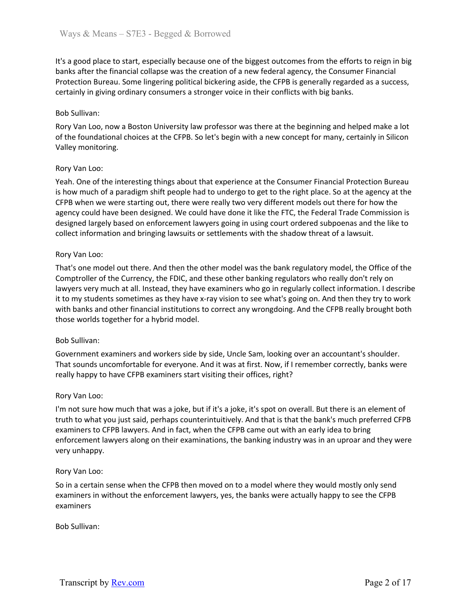It's a good place to start, especially because one of the biggest outcomes from the efforts to reign in big banks after the financial collapse was the creation of a new federal agency, the Consumer Financial Protection Bureau. Some lingering political bickering aside, the CFPB is generally regarded as a success, certainly in giving ordinary consumers a stronger voice in their conflicts with big banks.

## Bob Sullivan:

Rory Van Loo, now a Boston University law professor was there at the beginning and helped make a lot of the foundational choices at the CFPB. So let's begin with a new concept for many, certainly in Silicon Valley monitoring.

# Rory Van Loo:

Yeah. One of the interesting things about that experience at the Consumer Financial Protection Bureau is how much of a paradigm shift people had to undergo to get to the right place. So at the agency at the CFPB when we were starting out, there were really two very different models out there for how the agency could have been designed. We could have done it like the FTC, the Federal Trade Commission is designed largely based on enforcement lawyers going in using court ordered subpoenas and the like to collect information and bringing lawsuits or settlements with the shadow threat of a lawsuit.

## Rory Van Loo:

That's one model out there. And then the other model was the bank regulatory model, the Office of the Comptroller of the Currency, the FDIC, and these other banking regulators who really don't rely on lawyers very much at all. Instead, they have examiners who go in regularly collect information. I describe it to my students sometimes as they have x-ray vision to see what's going on. And then they try to work with banks and other financial institutions to correct any wrongdoing. And the CFPB really brought both those worlds together for a hybrid model.

## Bob Sullivan:

Government examiners and workers side by side, Uncle Sam, looking over an accountant's shoulder. That sounds uncomfortable for everyone. And it was at first. Now, if I remember correctly, banks were really happy to have CFPB examiners start visiting their offices, right?

## Rory Van Loo:

I'm not sure how much that was a joke, but if it's a joke, it's spot on overall. But there is an element of truth to what you just said, perhaps counterintuitively. And that is that the bank's much preferred CFPB examiners to CFPB lawyers. And in fact, when the CFPB came out with an early idea to bring enforcement lawyers along on their examinations, the banking industry was in an uproar and they were very unhappy.

## Rory Van Loo:

So in a certain sense when the CFPB then moved on to a model where they would mostly only send examiners in without the enforcement lawyers, yes, the banks were actually happy to see the CFPB examiners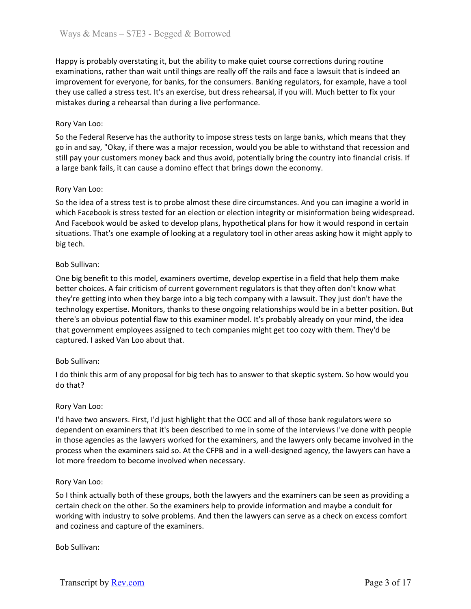Happy is probably overstating it, but the ability to make quiet course corrections during routine examinations, rather than wait until things are really off the rails and face a lawsuit that is indeed an improvement for everyone, for banks, for the consumers. Banking regulators, for example, have a tool they use called a stress test. It's an exercise, but dress rehearsal, if you will. Much better to fix your mistakes during a rehearsal than during a live performance.

## Rory Van Loo:

So the Federal Reserve has the authority to impose stress tests on large banks, which means that they go in and say, "Okay, if there was a major recession, would you be able to withstand that recession and still pay your customers money back and thus avoid, potentially bring the country into financial crisis. If a large bank fails, it can cause a domino effect that brings down the economy.

## Rory Van Loo:

So the idea of a stress test is to probe almost these dire circumstances. And you can imagine a world in which Facebook is stress tested for an election or election integrity or misinformation being widespread. And Facebook would be asked to develop plans, hypothetical plans for how it would respond in certain situations. That's one example of looking at a regulatory tool in other areas asking how it might apply to big tech.

# Bob Sullivan:

One big benefit to this model, examiners overtime, develop expertise in a field that help them make better choices. A fair criticism of current government regulators is that they often don't know what they're getting into when they barge into a big tech company with a lawsuit. They just don't have the technology expertise. Monitors, thanks to these ongoing relationships would be in a better position. But there's an obvious potential flaw to this examiner model. It's probably already on your mind, the idea that government employees assigned to tech companies might get too cozy with them. They'd be captured. I asked Van Loo about that.

## Bob Sullivan:

I do think this arm of any proposal for big tech has to answer to that skeptic system. So how would you do that?

## Rory Van Loo:

I'd have two answers. First, I'd just highlight that the OCC and all of those bank regulators were so dependent on examiners that it's been described to me in some of the interviews I've done with people in those agencies as the lawyers worked for the examiners, and the lawyers only became involved in the process when the examiners said so. At the CFPB and in a well-designed agency, the lawyers can have a lot more freedom to become involved when necessary.

## Rory Van Loo:

So I think actually both of these groups, both the lawyers and the examiners can be seen as providing a certain check on the other. So the examiners help to provide information and maybe a conduit for working with industry to solve problems. And then the lawyers can serve as a check on excess comfort and coziness and capture of the examiners.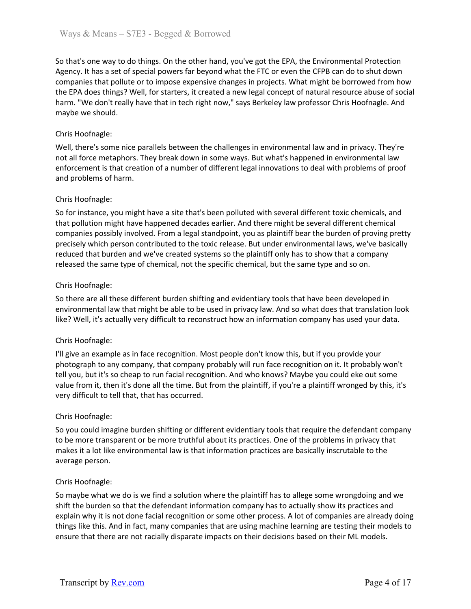So that's one way to do things. On the other hand, you've got the EPA, the Environmental Protection Agency. It has a set of special powers far beyond what the FTC or even the CFPB can do to shut down companies that pollute or to impose expensive changes in projects. What might be borrowed from how the EPA does things? Well, for starters, it created a new legal concept of natural resource abuse of social harm. "We don't really have that in tech right now," says Berkeley law professor Chris Hoofnagle. And maybe we should.

# Chris Hoofnagle:

Well, there's some nice parallels between the challenges in environmental law and in privacy. They're not all force metaphors. They break down in some ways. But what's happened in environmental law enforcement is that creation of a number of different legal innovations to deal with problems of proof and problems of harm.

# Chris Hoofnagle:

So for instance, you might have a site that's been polluted with several different toxic chemicals, and that pollution might have happened decades earlier. And there might be several different chemical companies possibly involved. From a legal standpoint, you as plaintiff bear the burden of proving pretty precisely which person contributed to the toxic release. But under environmental laws, we've basically reduced that burden and we've created systems so the plaintiff only has to show that a company released the same type of chemical, not the specific chemical, but the same type and so on.

# Chris Hoofnagle:

So there are all these different burden shifting and evidentiary tools that have been developed in environmental law that might be able to be used in privacy law. And so what does that translation look like? Well, it's actually very difficult to reconstruct how an information company has used your data.

## Chris Hoofnagle:

I'll give an example as in face recognition. Most people don't know this, but if you provide your photograph to any company, that company probably will run face recognition on it. It probably won't tell you, but it's so cheap to run facial recognition. And who knows? Maybe you could eke out some value from it, then it's done all the time. But from the plaintiff, if you're a plaintiff wronged by this, it's very difficult to tell that, that has occurred.

## Chris Hoofnagle:

So you could imagine burden shifting or different evidentiary tools that require the defendant company to be more transparent or be more truthful about its practices. One of the problems in privacy that makes it a lot like environmental law is that information practices are basically inscrutable to the average person.

## Chris Hoofnagle:

So maybe what we do is we find a solution where the plaintiff has to allege some wrongdoing and we shift the burden so that the defendant information company has to actually show its practices and explain why it is not done facial recognition or some other process. A lot of companies are already doing things like this. And in fact, many companies that are using machine learning are testing their models to ensure that there are not racially disparate impacts on their decisions based on their ML models.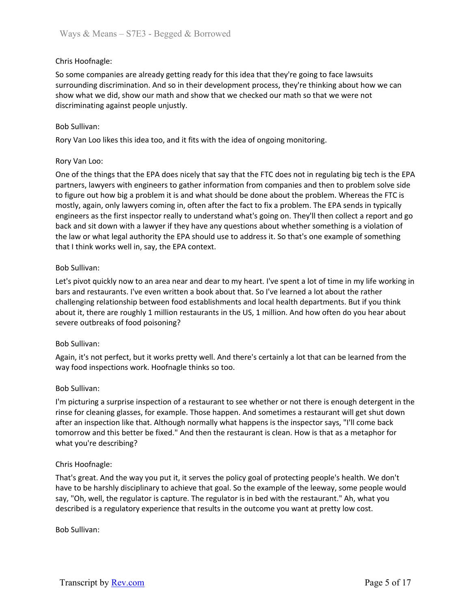# Chris Hoofnagle:

So some companies are already getting ready for this idea that they're going to face lawsuits surrounding discrimination. And so in their development process, they're thinking about how we can show what we did, show our math and show that we checked our math so that we were not discriminating against people unjustly.

## Bob Sullivan:

Rory Van Loo likes this idea too, and it fits with the idea of ongoing monitoring.

#### Rory Van Loo:

One of the things that the EPA does nicely that say that the FTC does not in regulating big tech is the EPA partners, lawyers with engineers to gather information from companies and then to problem solve side to figure out how big a problem it is and what should be done about the problem. Whereas the FTC is mostly, again, only lawyers coming in, often after the fact to fix a problem. The EPA sends in typically engineers as the first inspector really to understand what's going on. They'll then collect a report and go back and sit down with a lawyer if they have any questions about whether something is a violation of the law or what legal authority the EPA should use to address it. So that's one example of something that I think works well in, say, the EPA context.

#### Bob Sullivan:

Let's pivot quickly now to an area near and dear to my heart. I've spent a lot of time in my life working in bars and restaurants. I've even written a book about that. So I've learned a lot about the rather challenging relationship between food establishments and local health departments. But if you think about it, there are roughly 1 million restaurants in the US, 1 million. And how often do you hear about severe outbreaks of food poisoning?

#### Bob Sullivan:

Again, it's not perfect, but it works pretty well. And there's certainly a lot that can be learned from the way food inspections work. Hoofnagle thinks so too.

#### Bob Sullivan:

I'm picturing a surprise inspection of a restaurant to see whether or not there is enough detergent in the rinse for cleaning glasses, for example. Those happen. And sometimes a restaurant will get shut down after an inspection like that. Although normally what happens is the inspector says, "I'll come back tomorrow and this better be fixed." And then the restaurant is clean. How is that as a metaphor for what you're describing?

## Chris Hoofnagle:

That's great. And the way you put it, it serves the policy goal of protecting people's health. We don't have to be harshly disciplinary to achieve that goal. So the example of the leeway, some people would say, "Oh, well, the regulator is capture. The regulator is in bed with the restaurant." Ah, what you described is a regulatory experience that results in the outcome you want at pretty low cost.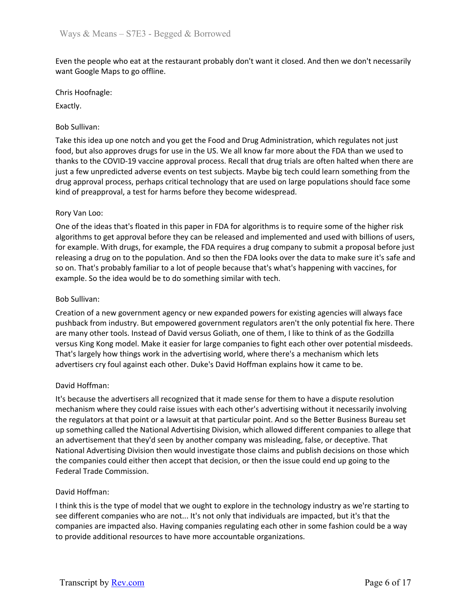Even the people who eat at the restaurant probably don't want it closed. And then we don't necessarily want Google Maps to go offline.

Chris Hoofnagle:

Exactly.

# Bob Sullivan:

Take this idea up one notch and you get the Food and Drug Administration, which regulates not just food, but also approves drugs for use in the US. We all know far more about the FDA than we used to thanks to the COVID-19 vaccine approval process. Recall that drug trials are often halted when there are just a few unpredicted adverse events on test subjects. Maybe big tech could learn something from the drug approval process, perhaps critical technology that are used on large populations should face some kind of preapproval, a test for harms before they become widespread.

# Rory Van Loo:

One of the ideas that's floated in this paper in FDA for algorithms is to require some of the higher risk algorithms to get approval before they can be released and implemented and used with billions of users, for example. With drugs, for example, the FDA requires a drug company to submit a proposal before just releasing a drug on to the population. And so then the FDA looks over the data to make sure it's safe and so on. That's probably familiar to a lot of people because that's what's happening with vaccines, for example. So the idea would be to do something similar with tech.

# Bob Sullivan:

Creation of a new government agency or new expanded powers for existing agencies will always face pushback from industry. But empowered government regulators aren't the only potential fix here. There are many other tools. Instead of David versus Goliath, one of them, I like to think of as the Godzilla versus King Kong model. Make it easier for large companies to fight each other over potential misdeeds. That's largely how things work in the advertising world, where there's a mechanism which lets advertisers cry foul against each other. Duke's David Hoffman explains how it came to be.

## David Hoffman:

It's because the advertisers all recognized that it made sense for them to have a dispute resolution mechanism where they could raise issues with each other's advertising without it necessarily involving the regulators at that point or a lawsuit at that particular point. And so the Better Business Bureau set up something called the National Advertising Division, which allowed different companies to allege that an advertisement that they'd seen by another company was misleading, false, or deceptive. That National Advertising Division then would investigate those claims and publish decisions on those which the companies could either then accept that decision, or then the issue could end up going to the Federal Trade Commission.

## David Hoffman:

I think this is the type of model that we ought to explore in the technology industry as we're starting to see different companies who are not... It's not only that individuals are impacted, but it's that the companies are impacted also. Having companies regulating each other in some fashion could be a way to provide additional resources to have more accountable organizations.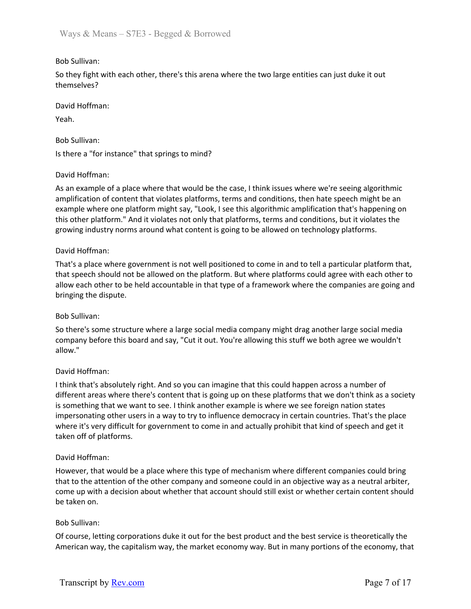# Bob Sullivan:

So they fight with each other, there's this arena where the two large entities can just duke it out themselves?

David Hoffman:

Yeah.

Bob Sullivan:

Is there a "for instance" that springs to mind?

## David Hoffman:

As an example of a place where that would be the case, I think issues where we're seeing algorithmic amplification of content that violates platforms, terms and conditions, then hate speech might be an example where one platform might say, "Look, I see this algorithmic amplification that's happening on this other platform." And it violates not only that platforms, terms and conditions, but it violates the growing industry norms around what content is going to be allowed on technology platforms.

## David Hoffman:

That's a place where government is not well positioned to come in and to tell a particular platform that, that speech should not be allowed on the platform. But where platforms could agree with each other to allow each other to be held accountable in that type of a framework where the companies are going and bringing the dispute.

## Bob Sullivan:

So there's some structure where a large social media company might drag another large social media company before this board and say, "Cut it out. You're allowing this stuff we both agree we wouldn't allow."

## David Hoffman:

I think that's absolutely right. And so you can imagine that this could happen across a number of different areas where there's content that is going up on these platforms that we don't think as a society is something that we want to see. I think another example is where we see foreign nation states impersonating other users in a way to try to influence democracy in certain countries. That's the place where it's very difficult for government to come in and actually prohibit that kind of speech and get it taken off of platforms.

## David Hoffman:

However, that would be a place where this type of mechanism where different companies could bring that to the attention of the other company and someone could in an objective way as a neutral arbiter, come up with a decision about whether that account should still exist or whether certain content should be taken on.

## Bob Sullivan:

Of course, letting corporations duke it out for the best product and the best service is theoretically the American way, the capitalism way, the market economy way. But in many portions of the economy, that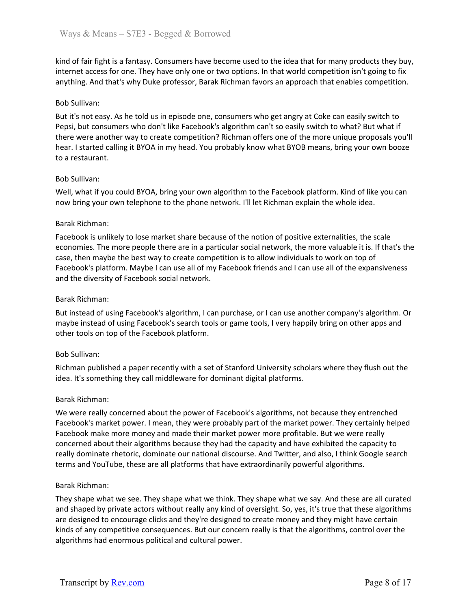kind of fair fight is a fantasy. Consumers have become used to the idea that for many products they buy, internet access for one. They have only one or two options. In that world competition isn't going to fix anything. And that's why Duke professor, Barak Richman favors an approach that enables competition.

#### Bob Sullivan:

But it's not easy. As he told us in episode one, consumers who get angry at Coke can easily switch to Pepsi, but consumers who don't like Facebook's algorithm can't so easily switch to what? But what if there were another way to create competition? Richman offers one of the more unique proposals you'll hear. I started calling it BYOA in my head. You probably know what BYOB means, bring your own booze to a restaurant.

#### Bob Sullivan:

Well, what if you could BYOA, bring your own algorithm to the Facebook platform. Kind of like you can now bring your own telephone to the phone network. I'll let Richman explain the whole idea.

#### Barak Richman:

Facebook is unlikely to lose market share because of the notion of positive externalities, the scale economies. The more people there are in a particular social network, the more valuable it is. If that's the case, then maybe the best way to create competition is to allow individuals to work on top of Facebook's platform. Maybe I can use all of my Facebook friends and I can use all of the expansiveness and the diversity of Facebook social network.

#### Barak Richman:

But instead of using Facebook's algorithm, I can purchase, or I can use another company's algorithm. Or maybe instead of using Facebook's search tools or game tools, I very happily bring on other apps and other tools on top of the Facebook platform.

#### Bob Sullivan:

Richman published a paper recently with a set of Stanford University scholars where they flush out the idea. It's something they call middleware for dominant digital platforms.

#### Barak Richman:

We were really concerned about the power of Facebook's algorithms, not because they entrenched Facebook's market power. I mean, they were probably part of the market power. They certainly helped Facebook make more money and made their market power more profitable. But we were really concerned about their algorithms because they had the capacity and have exhibited the capacity to really dominate rhetoric, dominate our national discourse. And Twitter, and also, I think Google search terms and YouTube, these are all platforms that have extraordinarily powerful algorithms.

#### Barak Richman:

They shape what we see. They shape what we think. They shape what we say. And these are all curated and shaped by private actors without really any kind of oversight. So, yes, it's true that these algorithms are designed to encourage clicks and they're designed to create money and they might have certain kinds of any competitive consequences. But our concern really is that the algorithms, control over the algorithms had enormous political and cultural power.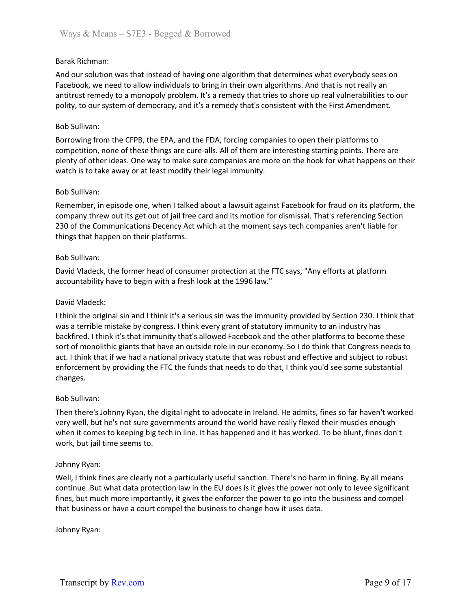## Barak Richman:

And our solution was that instead of having one algorithm that determines what everybody sees on Facebook, we need to allow individuals to bring in their own algorithms. And that is not really an antitrust remedy to a monopoly problem. It's a remedy that tries to shore up real vulnerabilities to our polity, to our system of democracy, and it's a remedy that's consistent with the First Amendment.

## Bob Sullivan:

Borrowing from the CFPB, the EPA, and the FDA, forcing companies to open their platforms to competition, none of these things are cure-alls. All of them are interesting starting points. There are plenty of other ideas. One way to make sure companies are more on the hook for what happens on their watch is to take away or at least modify their legal immunity.

#### Bob Sullivan:

Remember, in episode one, when I talked about a lawsuit against Facebook for fraud on its platform, the company threw out its get out of jail free card and its motion for dismissal. That's referencing Section 230 of the Communications Decency Act which at the moment says tech companies aren't liable for things that happen on their platforms.

#### Bob Sullivan:

David Vladeck, the former head of consumer protection at the FTC says, "Any efforts at platform accountability have to begin with a fresh look at the 1996 law."

#### David Vladeck:

I think the original sin and I think it's a serious sin was the immunity provided by Section 230. I think that was a terrible mistake by congress. I think every grant of statutory immunity to an industry has backfired. I think it's that immunity that's allowed Facebook and the other platforms to become these sort of monolithic giants that have an outside role in our economy. So I do think that Congress needs to act. I think that if we had a national privacy statute that was robust and effective and subject to robust enforcement by providing the FTC the funds that needs to do that, I think you'd see some substantial changes.

#### Bob Sullivan:

Then there's Johnny Ryan, the digital right to advocate in Ireland. He admits, fines so far haven't worked very well, but he's not sure governments around the world have really flexed their muscles enough when it comes to keeping big tech in line. It has happened and it has worked. To be blunt, fines don't work, but jail time seems to.

#### Johnny Ryan:

Well, I think fines are clearly not a particularly useful sanction. There's no harm in fining. By all means continue. But what data protection law in the EU does is it gives the power not only to levee significant fines, but much more importantly, it gives the enforcer the power to go into the business and compel that business or have a court compel the business to change how it uses data.

Johnny Ryan: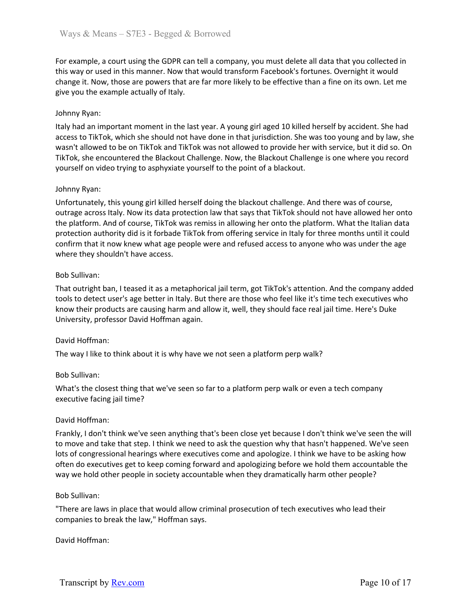For example, a court using the GDPR can tell a company, you must delete all data that you collected in this way or used in this manner. Now that would transform Facebook's fortunes. Overnight it would change it. Now, those are powers that are far more likely to be effective than a fine on its own. Let me give you the example actually of Italy.

## Johnny Ryan:

Italy had an important moment in the last year. A young girl aged 10 killed herself by accident. She had access to TikTok, which she should not have done in that jurisdiction. She was too young and by law, she wasn't allowed to be on TikTok and TikTok was not allowed to provide her with service, but it did so. On TikTok, she encountered the Blackout Challenge. Now, the Blackout Challenge is one where you record yourself on video trying to asphyxiate yourself to the point of a blackout.

## Johnny Ryan:

Unfortunately, this young girl killed herself doing the blackout challenge. And there was of course, outrage across Italy. Now its data protection law that says that TikTok should not have allowed her onto the platform. And of course, TikTok was remiss in allowing her onto the platform. What the Italian data protection authority did is it forbade TikTok from offering service in Italy for three months until it could confirm that it now knew what age people were and refused access to anyone who was under the age where they shouldn't have access.

## Bob Sullivan:

That outright ban, I teased it as a metaphorical jail term, got TikTok's attention. And the company added tools to detect user's age better in Italy. But there are those who feel like it's time tech executives who know their products are causing harm and allow it, well, they should face real jail time. Here's Duke University, professor David Hoffman again.

## David Hoffman:

The way I like to think about it is why have we not seen a platform perp walk?

#### Bob Sullivan:

What's the closest thing that we've seen so far to a platform perp walk or even a tech company executive facing jail time?

#### David Hoffman:

Frankly, I don't think we've seen anything that's been close yet because I don't think we've seen the will to move and take that step. I think we need to ask the question why that hasn't happened. We've seen lots of congressional hearings where executives come and apologize. I think we have to be asking how often do executives get to keep coming forward and apologizing before we hold them accountable the way we hold other people in society accountable when they dramatically harm other people?

#### Bob Sullivan:

"There are laws in place that would allow criminal prosecution of tech executives who lead their companies to break the law," Hoffman says.

#### David Hoffman: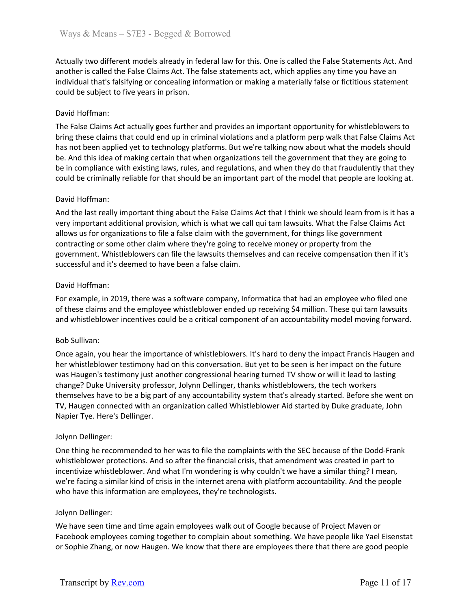Actually two different models already in federal law for this. One is called the False Statements Act. And another is called the False Claims Act. The false statements act, which applies any time you have an individual that's falsifying or concealing information or making a materially false or fictitious statement could be subject to five years in prison.

# David Hoffman:

The False Claims Act actually goes further and provides an important opportunity for whistleblowers to bring these claims that could end up in criminal violations and a platform perp walk that False Claims Act has not been applied yet to technology platforms. But we're talking now about what the models should be. And this idea of making certain that when organizations tell the government that they are going to be in compliance with existing laws, rules, and regulations, and when they do that fraudulently that they could be criminally reliable for that should be an important part of the model that people are looking at.

## David Hoffman:

And the last really important thing about the False Claims Act that I think we should learn from is it has a very important additional provision, which is what we call qui tam lawsuits. What the False Claims Act allows us for organizations to file a false claim with the government, for things like government contracting or some other claim where they're going to receive money or property from the government. Whistleblowers can file the lawsuits themselves and can receive compensation then if it's successful and it's deemed to have been a false claim.

## David Hoffman:

For example, in 2019, there was a software company, Informatica that had an employee who filed one of these claims and the employee whistleblower ended up receiving \$4 million. These qui tam lawsuits and whistleblower incentives could be a critical component of an accountability model moving forward.

## Bob Sullivan:

Once again, you hear the importance of whistleblowers. It's hard to deny the impact Francis Haugen and her whistleblower testimony had on this conversation. But yet to be seen is her impact on the future was Haugen's testimony just another congressional hearing turned TV show or will it lead to lasting change? Duke University professor, Jolynn Dellinger, thanks whistleblowers, the tech workers themselves have to be a big part of any accountability system that's already started. Before she went on TV, Haugen connected with an organization called Whistleblower Aid started by Duke graduate, John Napier Tye. Here's Dellinger.

## Jolynn Dellinger:

One thing he recommended to her was to file the complaints with the SEC because of the Dodd-Frank whistleblower protections. And so after the financial crisis, that amendment was created in part to incentivize whistleblower. And what I'm wondering is why couldn't we have a similar thing? I mean, we're facing a similar kind of crisis in the internet arena with platform accountability. And the people who have this information are employees, they're technologists.

## Jolynn Dellinger:

We have seen time and time again employees walk out of Google because of Project Maven or Facebook employees coming together to complain about something. We have people like Yael Eisenstat or Sophie Zhang, or now Haugen. We know that there are employees there that there are good people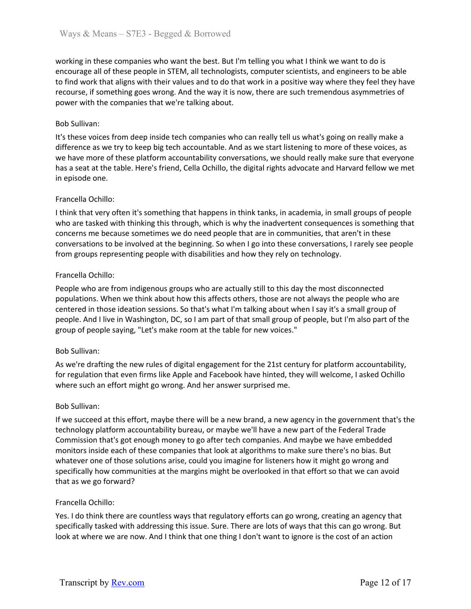working in these companies who want the best. But I'm telling you what I think we want to do is encourage all of these people in STEM, all technologists, computer scientists, and engineers to be able to find work that aligns with their values and to do that work in a positive way where they feel they have recourse, if something goes wrong. And the way it is now, there are such tremendous asymmetries of power with the companies that we're talking about.

## Bob Sullivan:

It's these voices from deep inside tech companies who can really tell us what's going on really make a difference as we try to keep big tech accountable. And as we start listening to more of these voices, as we have more of these platform accountability conversations, we should really make sure that everyone has a seat at the table. Here's friend, Cella Ochillo, the digital rights advocate and Harvard fellow we met in episode one.

# Francella Ochillo:

I think that very often it's something that happens in think tanks, in academia, in small groups of people who are tasked with thinking this through, which is why the inadvertent consequences is something that concerns me because sometimes we do need people that are in communities, that aren't in these conversations to be involved at the beginning. So when I go into these conversations, I rarely see people from groups representing people with disabilities and how they rely on technology.

# Francella Ochillo:

People who are from indigenous groups who are actually still to this day the most disconnected populations. When we think about how this affects others, those are not always the people who are centered in those ideation sessions. So that's what I'm talking about when I say it's a small group of people. And I live in Washington, DC, so I am part of that small group of people, but I'm also part of the group of people saying, "Let's make room at the table for new voices."

## Bob Sullivan:

As we're drafting the new rules of digital engagement for the 21st century for platform accountability, for regulation that even firms like Apple and Facebook have hinted, they will welcome, I asked Ochillo where such an effort might go wrong. And her answer surprised me.

## Bob Sullivan:

If we succeed at this effort, maybe there will be a new brand, a new agency in the government that's the technology platform accountability bureau, or maybe we'll have a new part of the Federal Trade Commission that's got enough money to go after tech companies. And maybe we have embedded monitors inside each of these companies that look at algorithms to make sure there's no bias. But whatever one of those solutions arise, could you imagine for listeners how it might go wrong and specifically how communities at the margins might be overlooked in that effort so that we can avoid that as we go forward?

## Francella Ochillo:

Yes. I do think there are countless ways that regulatory efforts can go wrong, creating an agency that specifically tasked with addressing this issue. Sure. There are lots of ways that this can go wrong. But look at where we are now. And I think that one thing I don't want to ignore is the cost of an action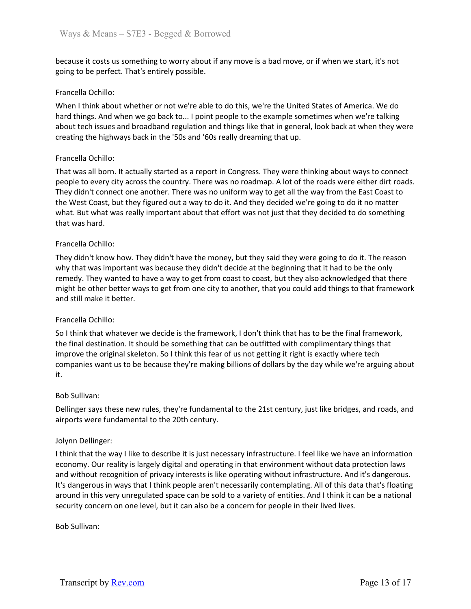because it costs us something to worry about if any move is a bad move, or if when we start, it's not going to be perfect. That's entirely possible.

## Francella Ochillo:

When I think about whether or not we're able to do this, we're the United States of America. We do hard things. And when we go back to... I point people to the example sometimes when we're talking about tech issues and broadband regulation and things like that in general, look back at when they were creating the highways back in the '50s and '60s really dreaming that up.

#### Francella Ochillo:

That was all born. It actually started as a report in Congress. They were thinking about ways to connect people to every city across the country. There was no roadmap. A lot of the roads were either dirt roads. They didn't connect one another. There was no uniform way to get all the way from the East Coast to the West Coast, but they figured out a way to do it. And they decided we're going to do it no matter what. But what was really important about that effort was not just that they decided to do something that was hard.

#### Francella Ochillo:

They didn't know how. They didn't have the money, but they said they were going to do it. The reason why that was important was because they didn't decide at the beginning that it had to be the only remedy. They wanted to have a way to get from coast to coast, but they also acknowledged that there might be other better ways to get from one city to another, that you could add things to that framework and still make it better.

## Francella Ochillo:

So I think that whatever we decide is the framework, I don't think that has to be the final framework, the final destination. It should be something that can be outfitted with complimentary things that improve the original skeleton. So I think this fear of us not getting it right is exactly where tech companies want us to be because they're making billions of dollars by the day while we're arguing about it.

#### Bob Sullivan:

Dellinger says these new rules, they're fundamental to the 21st century, just like bridges, and roads, and airports were fundamental to the 20th century.

#### Jolynn Dellinger:

I think that the way I like to describe it is just necessary infrastructure. I feel like we have an information economy. Our reality is largely digital and operating in that environment without data protection laws and without recognition of privacy interests is like operating without infrastructure. And it's dangerous. It's dangerous in ways that I think people aren't necessarily contemplating. All of this data that's floating around in this very unregulated space can be sold to a variety of entities. And I think it can be a national security concern on one level, but it can also be a concern for people in their lived lives.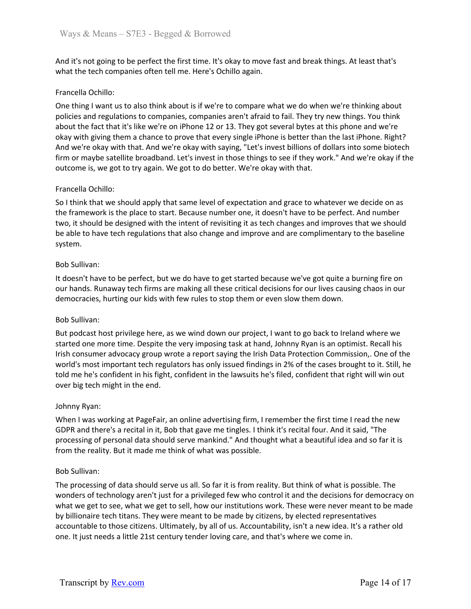And it's not going to be perfect the first time. It's okay to move fast and break things. At least that's what the tech companies often tell me. Here's Ochillo again.

## Francella Ochillo:

One thing I want us to also think about is if we're to compare what we do when we're thinking about policies and regulations to companies, companies aren't afraid to fail. They try new things. You think about the fact that it's like we're on iPhone 12 or 13. They got several bytes at this phone and we're okay with giving them a chance to prove that every single iPhone is better than the last iPhone. Right? And we're okay with that. And we're okay with saying, "Let's invest billions of dollars into some biotech firm or maybe satellite broadband. Let's invest in those things to see if they work." And we're okay if the outcome is, we got to try again. We got to do better. We're okay with that.

#### Francella Ochillo:

So I think that we should apply that same level of expectation and grace to whatever we decide on as the framework is the place to start. Because number one, it doesn't have to be perfect. And number two, it should be designed with the intent of revisiting it as tech changes and improves that we should be able to have tech regulations that also change and improve and are complimentary to the baseline system.

#### Bob Sullivan:

It doesn't have to be perfect, but we do have to get started because we've got quite a burning fire on our hands. Runaway tech firms are making all these critical decisions for our lives causing chaos in our democracies, hurting our kids with few rules to stop them or even slow them down.

#### Bob Sullivan:

But podcast host privilege here, as we wind down our project, I want to go back to Ireland where we started one more time. Despite the very imposing task at hand, Johnny Ryan is an optimist. Recall his Irish consumer advocacy group wrote a report saying the Irish Data Protection Commission,. One of the world's most important tech regulators has only issued findings in 2% of the cases brought to it. Still, he told me he's confident in his fight, confident in the lawsuits he's filed, confident that right will win out over big tech might in the end.

#### Johnny Ryan:

When I was working at PageFair, an online advertising firm, I remember the first time I read the new GDPR and there's a recital in it, Bob that gave me tingles. I think it's recital four. And it said, "The processing of personal data should serve mankind." And thought what a beautiful idea and so far it is from the reality. But it made me think of what was possible.

#### Bob Sullivan:

The processing of data should serve us all. So far it is from reality. But think of what is possible. The wonders of technology aren't just for a privileged few who control it and the decisions for democracy on what we get to see, what we get to sell, how our institutions work. These were never meant to be made by billionaire tech titans. They were meant to be made by citizens, by elected representatives accountable to those citizens. Ultimately, by all of us. Accountability, isn't a new idea. It's a rather old one. It just needs a little 21st century tender loving care, and that's where we come in.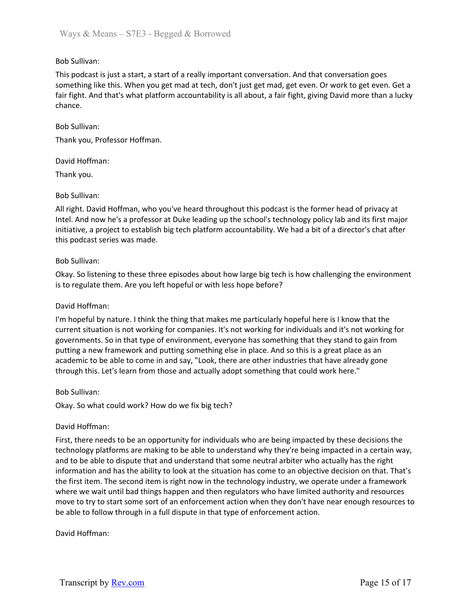# Bob Sullivan:

This podcast is just a start, a start of a really important conversation. And that conversation goes something like this. When you get mad at tech, don't just get mad, get even. Or work to get even. Get a fair fight. And that's what platform accountability is all about, a fair fight, giving David more than a lucky chance.

#### Bob Sullivan:

Thank you, Professor Hoffman.

#### David Hoffman:

Thank you.

## Bob Sullivan:

All right. David Hoffman, who you've heard throughout this podcast is the former head of privacy at Intel. And now he's a professor at Duke leading up the school's technology policy lab and its first major initiative, a project to establish big tech platform accountability. We had a bit of a director's chat after this podcast series was made.

#### Bob Sullivan:

Okay. So listening to these three episodes about how large big tech is how challenging the environment is to regulate them. Are you left hopeful or with less hope before?

#### David Hoffman:

I'm hopeful by nature. I think the thing that makes me particularly hopeful here is I know that the current situation is not working for companies. It's not working for individuals and it's not working for governments. So in that type of environment, everyone has something that they stand to gain from putting a new framework and putting something else in place. And so this is a great place as an academic to be able to come in and say, "Look, there are other industries that have already gone through this. Let's learn from those and actually adopt something that could work here."

## Bob Sullivan:

Okay. So what could work? How do we fix big tech?

#### David Hoffman:

First, there needs to be an opportunity for individuals who are being impacted by these decisions the technology platforms are making to be able to understand why they're being impacted in a certain way, and to be able to dispute that and understand that some neutral arbiter who actually has the right information and has the ability to look at the situation has come to an objective decision on that. That's the first item. The second item is right now in the technology industry, we operate under a framework where we wait until bad things happen and then regulators who have limited authority and resources move to try to start some sort of an enforcement action when they don't have near enough resources to be able to follow through in a full dispute in that type of enforcement action.

## David Hoffman: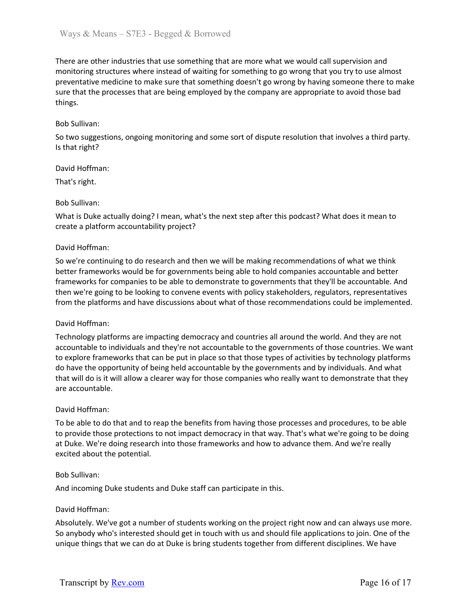There are other industries that use something that are more what we would call supervision and monitoring structures where instead of waiting for something to go wrong that you try to use almost preventative medicine to make sure that something doesn't go wrong by having someone there to make sure that the processes that are being employed by the company are appropriate to avoid those bad things.

## Bob Sullivan:

So two suggestions, ongoing monitoring and some sort of dispute resolution that involves a third party. Is that right?

## David Hoffman:

That's right.

## Bob Sullivan:

What is Duke actually doing? I mean, what's the next step after this podcast? What does it mean to create a platform accountability project?

## David Hoffman:

So we're continuing to do research and then we will be making recommendations of what we think better frameworks would be for governments being able to hold companies accountable and better frameworks for companies to be able to demonstrate to governments that they'll be accountable. And then we're going to be looking to convene events with policy stakeholders, regulators, representatives from the platforms and have discussions about what of those recommendations could be implemented.

## David Hoffman:

Technology platforms are impacting democracy and countries all around the world. And they are not accountable to individuals and they're not accountable to the governments of those countries. We want to explore frameworks that can be put in place so that those types of activities by technology platforms do have the opportunity of being held accountable by the governments and by individuals. And what that will do is it will allow a clearer way for those companies who really want to demonstrate that they are accountable.

## David Hoffman:

To be able to do that and to reap the benefits from having those processes and procedures, to be able to provide those protections to not impact democracy in that way. That's what we're going to be doing at Duke. We're doing research into those frameworks and how to advance them. And we're really excited about the potential.

## Bob Sullivan:

And incoming Duke students and Duke staff can participate in this.

## David Hoffman:

Absolutely. We've got a number of students working on the project right now and can always use more. So anybody who's interested should get in touch with us and should file applications to join. One of the unique things that we can do at Duke is bring students together from different disciplines. We have